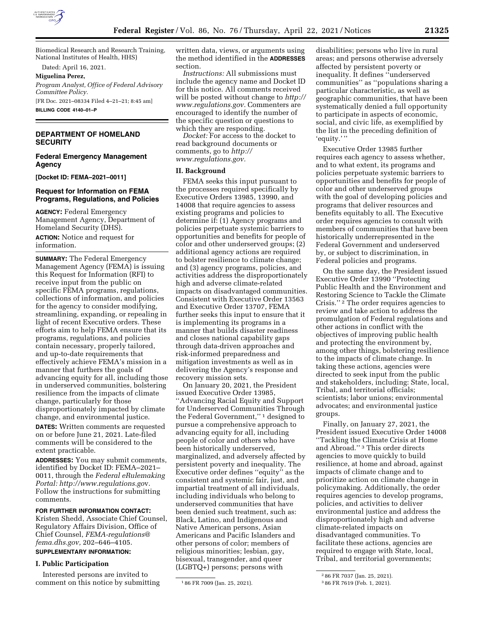

Biomedical Research and Research Training, National Institutes of Health, HHS)

Dated: April 16, 2021.

**Miguelina Perez,** 

*Program Analyst, Office of Federal Advisory Committee Policy.*  [FR Doc. 2021–08334 Filed 4–21–21; 8:45 am] **BILLING CODE 4140–01–P** 

# **DEPARTMENT OF HOMELAND SECURITY**

### **Federal Emergency Management Agency**

**[Docket ID: FEMA–2021–0011]** 

### **Request for Information on FEMA Programs, Regulations, and Policies**

**AGENCY:** Federal Emergency Management Agency, Department of Homeland Security (DHS). **ACTION:** Notice and request for information.

**SUMMARY:** The Federal Emergency Management Agency (FEMA) is issuing this Request for Information (RFI) to receive input from the public on specific FEMA programs, regulations, collections of information, and policies for the agency to consider modifying, streamlining, expanding, or repealing in light of recent Executive orders. These efforts aim to help FEMA ensure that its programs, regulations, and policies contain necessary, properly tailored, and up-to-date requirements that effectively achieve FEMA's mission in a manner that furthers the goals of advancing equity for all, including those in underserved communities, bolstering resilience from the impacts of climate change, particularly for those disproportionately impacted by climate change, and environmental justice.

**DATES:** Written comments are requested on or before June 21, 2021. Late-filed comments will be considered to the extent practicable.

**ADDRESSES:** You may submit comments, identified by Docket ID: FEMA–2021– 0011, through the *Federal eRulemaking Portal: [http://www.regulations.go](http://www.regulations.gov)*v. Follow the instructions for submitting comments.

**FOR FURTHER INFORMATION CONTACT:**  Kristen Shedd, Associate Chief Counsel, Regulatory Affairs Division, Office of Chief Counsel, *[FEMA-regulations@](mailto:FEMA-regulations@fema.dhs.gov) [fema.dhs.gov,](mailto:FEMA-regulations@fema.dhs.gov)* 202–646–4105.

# **SUPPLEMENTARY INFORMATION:**

#### **I. Public Participation**

Interested persons are invited to comment on this notice by submitting written data, views, or arguments using the method identified in the **ADDRESSES** section.

*Instructions:* All submissions must include the agency name and Docket ID for this notice. All comments received will be posted without change to *[http://](http://www.regulations.gov) [www.regulations.gov.](http://www.regulations.gov)* Commenters are encouraged to identify the number of the specific question or questions to which they are responding.

*Docket:* For access to the docket to read background documents or comments, go to *[http://](http://www.regulations.gov) [www.regulations.gov.](http://www.regulations.gov)* 

### **II. Background**

FEMA seeks this input pursuant to the processes required specifically by Executive Orders 13985, 13990, and 14008 that require agencies to assess existing programs and policies to determine if: (1) Agency programs and policies perpetuate systemic barriers to opportunities and benefits for people of color and other underserved groups; (2) additional agency actions are required to bolster resilience to climate change; and (3) agency programs, policies, and activities address the disproportionately high and adverse climate-related impacts on disadvantaged communities. Consistent with Executive Order 13563 and Executive Order 13707, FEMA further seeks this input to ensure that it is implementing its programs in a manner that builds disaster readiness and closes national capability gaps through data-driven approaches and risk-informed preparedness and mitigation investments as well as in delivering the Agency's response and recovery mission sets.

On January 20, 2021, the President issued Executive Order 13985, ''Advancing Racial Equity and Support for Underserved Communities Through the Federal Government,'' 1 designed to pursue a comprehensive approach to advancing equity for all, including people of color and others who have been historically underserved, marginalized, and adversely affected by persistent poverty and inequality. The Executive order defines ''equity'' as the consistent and systemic fair, just, and impartial treatment of all individuals, including individuals who belong to underserved communities that have been denied such treatment, such as: Black, Latino, and Indigenous and Native American persons, Asian Americans and Pacific Islanders and other persons of color; members of religious minorities; lesbian, gay, bisexual, transgender, and queer (LGBTQ+) persons; persons with

disabilities; persons who live in rural areas; and persons otherwise adversely affected by persistent poverty or inequality. It defines ''underserved communities'' as ''populations sharing a particular characteristic, as well as geographic communities, that have been systematically denied a full opportunity to participate in aspects of economic, social, and civic life, as exemplified by the list in the preceding definition of 'equity.''

Executive Order 13985 further requires each agency to assess whether, and to what extent, its programs and policies perpetuate systemic barriers to opportunities and benefits for people of color and other underserved groups with the goal of developing policies and programs that deliver resources and benefits equitably to all. The Executive order requires agencies to consult with members of communities that have been historically underrepresented in the Federal Government and underserved by, or subject to discrimination, in Federal policies and programs.

On the same day, the President issued Executive Order 13990 ''Protecting Public Health and the Environment and Restoring Science to Tackle the Climate Crisis.'' 2 The order requires agencies to review and take action to address the promulgation of Federal regulations and other actions in conflict with the objectives of improving public health and protecting the environment by, among other things, bolstering resilience to the impacts of climate change. In taking these actions, agencies were directed to seek input from the public and stakeholders, including: State, local, Tribal, and territorial officials; scientists; labor unions; environmental advocates; and environmental justice groups.

Finally, on January 27, 2021, the President issued Executive Order 14008 ''Tackling the Climate Crisis at Home and Abroad.'' 3 This order directs agencies to move quickly to build resilience, at home and abroad, against impacts of climate change and to prioritize action on climate change in policymaking. Additionally, the order requires agencies to develop programs, policies, and activities to deliver environmental justice and address the disproportionately high and adverse climate-related impacts on disadvantaged communities. To facilitate these actions, agencies are required to engage with State, local, Tribal, and territorial governments;

<sup>1</sup> 86 FR 7009 (Jan. 25, 2021).

<sup>2</sup> 86 FR 7037 (Jan. 25, 2021).

<sup>3</sup> 86 FR 7619 (Feb. 1, 2021).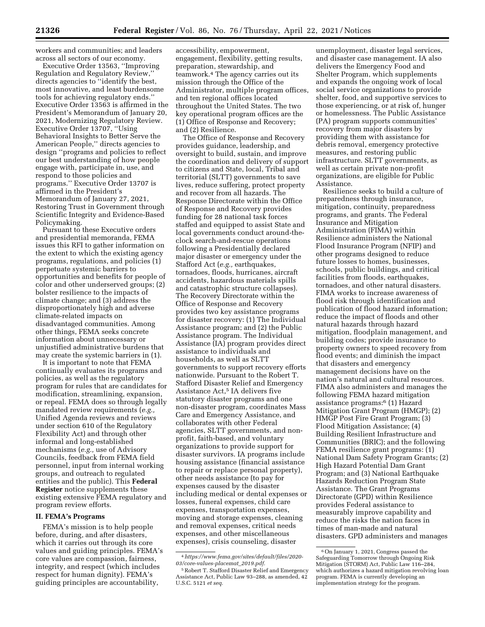workers and communities; and leaders across all sectors of our economy.

Executive Order 13563, ''Improving Regulation and Regulatory Review,'' directs agencies to ''identify the best, most innovative, and least burdensome tools for achieving regulatory ends.'' Executive Order 13563 is affirmed in the President's Memorandum of January 20, 2021, Modernizing Regulatory Review. Executive Order 13707, ''Using Behavioral Insights to Better Serve the American People,'' directs agencies to design ''programs and policies to reflect our best understanding of how people engage with, participate in, use, and respond to those policies and programs.'' Executive Order 13707 is affirmed in the President's Memorandum of January 27, 2021, Restoring Trust in Government through Scientific Integrity and Evidence-Based Policymaking.

Pursuant to these Executive orders and presidential memoranda, FEMA issues this RFI to gather information on the extent to which the existing agency programs, regulations, and policies (1) perpetuate systemic barriers to opportunities and benefits for people of color and other underserved groups; (2) bolster resilience to the impacts of climate change; and (3) address the disproportionately high and adverse climate-related impacts on disadvantaged communities. Among other things, FEMA seeks concrete information about unnecessary or unjustified administrative burdens that may create the systemic barriers in (1).

It is important to note that FEMA continually evaluates its programs and policies, as well as the regulatory program for rules that are candidates for modification, streamlining, expansion, or repeal. FEMA does so through legally mandated review requirements (*e.g.,*  Unified Agenda reviews and reviews under section 610 of the Regulatory Flexibility Act) and through other informal and long-established mechanisms (*e.g.,* use of Advisory Councils, feedback from FEMA field personnel, input from internal working groups, and outreach to regulated entities and the public). This **Federal Register** notice supplements these existing extensive FEMA regulatory and program review efforts.

# **II. FEMA's Programs**

FEMA's mission is to help people before, during, and after disasters, which it carries out through its core values and guiding principles. FEMA's core values are compassion, fairness, integrity, and respect (which includes respect for human dignity). FEMA's guiding principles are accountability,

accessibility, empowerment, engagement, flexibility, getting results, preparation, stewardship, and teamwork.4 The agency carries out its mission through the Office of the Administrator, multiple program offices, and ten regional offices located throughout the United States. The two key operational program offices are the (1) Office of Response and Recovery; and (2) Resilience.

The Office of Response and Recovery provides guidance, leadership, and oversight to build, sustain, and improve the coordination and delivery of support to citizens and State, local, Tribal and territorial (SLTT) governments to save lives, reduce suffering, protect property and recover from all hazards. The Response Directorate within the Office of Response and Recovery provides funding for 28 national task forces staffed and equipped to assist State and local governments conduct around-theclock search-and-rescue operations following a Presidentially declared major disaster or emergency under the Stafford Act (*e.g.,* earthquakes, tornadoes, floods, hurricanes, aircraft accidents, hazardous materials spills and catastrophic structure collapses). The Recovery Directorate within the Office of Response and Recovery provides two key assistance programs for disaster recovery: (1) The Individual Assistance program; and (2) the Public Assistance program. The Individual Assistance (IA) program provides direct assistance to individuals and households, as well as SLTT governments to support recovery efforts nationwide. Pursuant to the Robert T. Stafford Disaster Relief and Emergency Assistance Act,5 IA delivers five statutory disaster programs and one non-disaster program, coordinates Mass Care and Emergency Assistance, and collaborates with other Federal agencies, SLTT governments, and nonprofit, faith-based, and voluntary organizations to provide support for disaster survivors. IA programs include housing assistance (financial assistance to repair or replace personal property), other needs assistance (to pay for expenses caused by the disaster including medical or dental expenses or losses, funeral expenses, child care expenses, transportation expenses, moving and storage expenses, cleaning and removal expenses, critical needs expenses, and other miscellaneous expenses), crisis counseling, disaster

unemployment, disaster legal services, and disaster case management. IA also delivers the Emergency Food and Shelter Program, which supplements and expands the ongoing work of local social service organizations to provide shelter, food, and supportive services to those experiencing, or at risk of, hunger or homelessness. The Public Assistance (PA) program supports communities' recovery from major disasters by providing them with assistance for debris removal, emergency protective measures, and restoring public infrastructure. SLTT governments, as well as certain private non-profit organizations, are eligible for Public Assistance.

Resilience seeks to build a culture of preparedness through insurance, mitigation, continuity, preparedness programs, and grants. The Federal Insurance and Mitigation Administration (FIMA) within Resilience administers the National Flood Insurance Program (NFIP) and other programs designed to reduce future losses to homes, businesses, schools, public buildings, and critical facilities from floods, earthquakes, tornadoes, and other natural disasters. FIMA works to increase awareness of flood risk through identification and publication of flood hazard information; reduce the impact of floods and other natural hazards through hazard mitigation, floodplain management, and building codes; provide insurance to property owners to speed recovery from flood events; and diminish the impact that disasters and emergency management decisions have on the nation's natural and cultural resources. FIMA also administers and manages the following FEMA hazard mitigation assistance programs:6 (1) Hazard Mitigation Grant Program (HMGP); (2) HMGP Post Fire Grant Program; (3) Flood Mitigation Assistance; (4) Building Resilient Infrastructure and Communities (BRIC); and the following FEMA resilience grant programs: (1) National Dam Safety Program Grants; (2) High Hazard Potential Dam Grant Program; and (3) National Earthquake Hazards Reduction Program State Assistance. The Grant Programs Directorate (GPD) within Resilience provides Federal assistance to measurably improve capability and reduce the risks the nation faces in times of man-made and natural disasters. GPD administers and manages

<sup>4</sup>*[https://www.fema.gov/sites/default/files/2020-](https://www.fema.gov/sites/default/files/2020-03/core-values-placemat_2019.pdf)  [03/core-values-placemat](https://www.fema.gov/sites/default/files/2020-03/core-values-placemat_2019.pdf)*\_*2019.pdf.* 

<sup>5</sup>Robert T. Stafford Disaster Relief and Emergency Assistance Act, Public Law 93–288, as amended, 42 U.S.C. 5121 *et seq.* 

<sup>6</sup>On January 1, 2021, Congress passed the Safeguarding Tomorrow through Ongoing Risk Mitigation (STORM) Act, Public Law 116–284, which authorizes a hazard mitigation revolving loan program. FEMA is currently developing an implementation strategy for the program.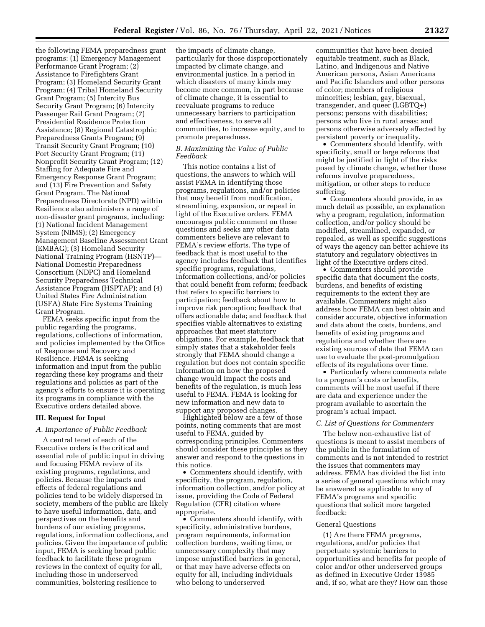the following FEMA preparedness grant programs: (1) Emergency Management Performance Grant Program; (2) Assistance to Firefighters Grant Program; (3) Homeland Security Grant Program; (4) Tribal Homeland Security Grant Program; (5) Intercity Bus Security Grant Program; (6) Intercity Passenger Rail Grant Program; (7) Presidential Residence Protection Assistance; (8) Regional Catastrophic Preparedness Grants Program; (9) Transit Security Grant Program; (10) Port Security Grant Program; (11) Nonprofit Security Grant Program; (12) Staffing for Adequate Fire and Emergency Response Grant Program; and (13) Fire Prevention and Safety Grant Program. The National Preparedness Directorate (NPD) within Resilience also administers a range of non-disaster grant programs, including: (1) National Incident Management System (NIMS); (2) Emergency Management Baseline Assessment Grant (EMBAG); (3) Homeland Security National Training Program (HSNTP)— National Domestic Preparedness Consortium (NDPC) and Homeland Security Preparedness Technical Assistance Program (HSPTAP); and (4) United States Fire Administration (USFA) State Fire Systems Training Grant Program.

FEMA seeks specific input from the public regarding the programs, regulations, collections of information, and policies implemented by the Office of Response and Recovery and Resilience. FEMA is seeking information and input from the public regarding these key programs and their regulations and policies as part of the agency's efforts to ensure it is operating its programs in compliance with the Executive orders detailed above.

# **III. Request for Input**

# *A. Importance of Public Feedback*

A central tenet of each of the Executive orders is the critical and essential role of public input in driving and focusing FEMA review of its existing programs, regulations, and policies. Because the impacts and effects of federal regulations and policies tend to be widely dispersed in society, members of the public are likely to have useful information, data, and perspectives on the benefits and burdens of our existing programs, regulations, information collections, and policies. Given the importance of public input, FEMA is seeking broad public feedback to facilitate these program reviews in the context of equity for all, including those in underserved communities, bolstering resilience to

the impacts of climate change, particularly for those disproportionately impacted by climate change, and environmental justice. In a period in which disasters of many kinds may become more common, in part because of climate change, it is essential to reevaluate programs to reduce unnecessary barriers to participation and effectiveness, to serve all communities, to increase equity, and to promote preparedness.

### *B. Maximizing the Value of Public Feedback*

This notice contains a list of questions, the answers to which will assist FEMA in identifying those programs, regulations, and/or policies that may benefit from modification, streamlining, expansion, or repeal in light of the Executive orders. FEMA encourages public comment on these questions and seeks any other data commenters believe are relevant to FEMA's review efforts. The type of feedback that is most useful to the agency includes feedback that identifies specific programs, regulations, information collections, and/or policies that could benefit from reform; feedback that refers to specific barriers to participation; feedback about how to improve risk perception; feedback that offers actionable data; and feedback that specifies viable alternatives to existing approaches that meet statutory obligations. For example, feedback that simply states that a stakeholder feels strongly that FEMA should change a regulation but does not contain specific information on how the proposed change would impact the costs and benefits of the regulation, is much less useful to FEMA. FEMA is looking for new information and new data to support any proposed changes.

Highlighted below are a few of those points, noting comments that are most useful to FEMA, guided by corresponding principles. Commenters should consider these principles as they answer and respond to the questions in this notice.

• Commenters should identify, with specificity, the program, regulation, information collection, and/or policy at issue, providing the Code of Federal Regulation (CFR) citation where appropriate.

• Commenters should identify, with specificity, administrative burdens, program requirements, information collection burdens, waiting time, or unnecessary complexity that may impose unjustified barriers in general, or that may have adverse effects on equity for all, including individuals who belong to underserved

communities that have been denied equitable treatment, such as Black, Latino, and Indigenous and Native American persons, Asian Americans and Pacific Islanders and other persons of color; members of religious minorities; lesbian, gay, bisexual, transgender, and queer (LGBTQ+) persons; persons with disabilities; persons who live in rural areas; and persons otherwise adversely affected by persistent poverty or inequality.

• Commenters should identify, with specificity, small or large reforms that might be justified in light of the risks posed by climate change, whether those reforms involve preparedness, mitigation, or other steps to reduce suffering.

• Commenters should provide, in as much detail as possible, an explanation why a program, regulation, information collection, and/or policy should be modified, streamlined, expanded, or repealed, as well as specific suggestions of ways the agency can better achieve its statutory and regulatory objectives in light of the Executive orders cited.

• Commenters should provide specific data that document the costs, burdens, and benefits of existing requirements to the extent they are available. Commenters might also address how FEMA can best obtain and consider accurate, objective information and data about the costs, burdens, and benefits of existing programs and regulations and whether there are existing sources of data that FEMA can use to evaluate the post-promulgation effects of its regulations over time.

• Particularly where comments relate to a program's costs or benefits, comments will be most useful if there are data and experience under the program available to ascertain the program's actual impact.

#### *C. List of Questions for Commenters*

The below non-exhaustive list of questions is meant to assist members of the public in the formulation of comments and is not intended to restrict the issues that commenters may address. FEMA has divided the list into a series of general questions which may be answered as applicable to any of FEMA's programs and specific questions that solicit more targeted feedback:

### General Questions

(1) Are there FEMA programs, regulations, and/or policies that perpetuate systemic barriers to opportunities and benefits for people of color and/or other underserved groups as defined in Executive Order 13985 and, if so, what are they? How can those